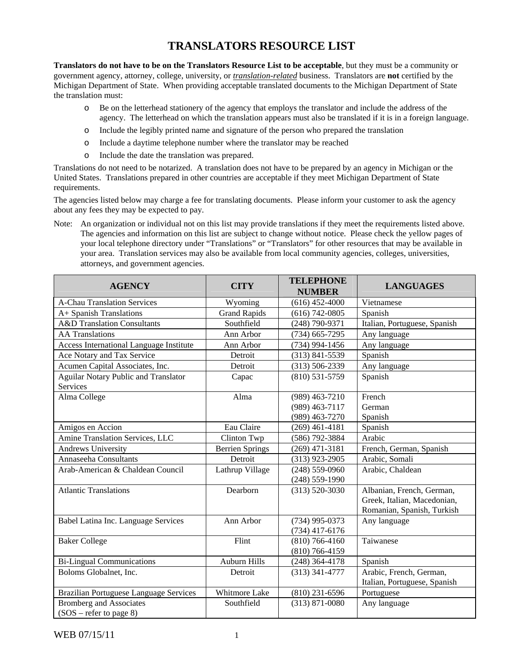## **TRANSLATORS RESOURCE LIST**

**Translators do not have to be on the Translators Resource List to be acceptable**, but they must be a community or government agency, attorney, college, university, or *translation-related* business. Translators are **not** certified by the Michigan Department of State. When providing acceptable translated documents to the Michigan Department of State the translation must:

- o Be on the letterhead stationery of the agency that employs the translator and include the address of the agency. The letterhead on which the translation appears must also be translated if it is in a foreign language.
- o Include the legibly printed name and signature of the person who prepared the translation
- o Include a daytime telephone number where the translator may be reached
- o Include the date the translation was prepared.

Translations do not need to be notarized. A translation does not have to be prepared by an agency in Michigan or the United States. Translations prepared in other countries are acceptable if they meet Michigan Department of State requirements.

The agencies listed below may charge a fee for translating documents. Please inform your customer to ask the agency about any fees they may be expected to pay.

Note: An organization or individual not on this list may provide translations if they meet the requirements listed above. The agencies and information on this list are subject to change without notice. Please check the yellow pages of your local telephone directory under "Translations" or "Translators" for other resources that may be available in your area. Translation services may also be available from local community agencies, colleges, universities, attorneys, and government agencies.

| <b>AGENCY</b>                                               | <b>CITY</b>            | <b>TELEPHONE</b><br><b>NUMBER</b>      | <b>LANGUAGES</b>                                                                       |
|-------------------------------------------------------------|------------------------|----------------------------------------|----------------------------------------------------------------------------------------|
| <b>A-Chau Translation Services</b>                          | Wyoming                | $(616)$ 452-4000                       | Vietnamese                                                                             |
| A+ Spanish Translations                                     | <b>Grand Rapids</b>    | $(616)$ 742-0805                       | Spanish                                                                                |
| <b>A&amp;D</b> Translation Consultants                      | Southfield             | (248) 790-9371                         | Italian, Portuguese, Spanish                                                           |
| <b>AA</b> Translations                                      | Ann Arbor              | $(734)$ 665-7295                       | Any language                                                                           |
| Access International Language Institute                     | Ann Arbor              | $(734)$ 994-1456                       | Any language                                                                           |
| Ace Notary and Tax Service                                  | Detroit                | $(313) 841 - 5539$                     | Spanish                                                                                |
| Acumen Capital Associates, Inc.                             | Detroit                | $(313) 506 - 2339$                     | Any language                                                                           |
| Aguilar Notary Public and Translator<br>Services            | Capac                  | $(810)$ 531-5759                       | Spanish                                                                                |
| Alma College                                                | Alma                   | $(989)$ 463-7210                       | French                                                                                 |
|                                                             |                        | (989) 463-7117                         | German                                                                                 |
|                                                             |                        | $(989)$ 463-7270                       | Spanish                                                                                |
| Amigos en Accion                                            | Eau Claire             | $(269)$ 461-4181                       | Spanish                                                                                |
| Amine Translation Services, LLC                             | Clinton Twp            | (586) 792-3884                         | Arabic                                                                                 |
| <b>Andrews University</b>                                   | <b>Berrien Springs</b> | $(269)$ 471-3181                       | French, German, Spanish                                                                |
| Annaseeha Consultants                                       | Detroit                | $(313)$ 923-2905                       | Arabic, Somali                                                                         |
| Arab-American & Chaldean Council                            | Lathrup Village        | $(248) 559 - 0960$                     | Arabic, Chaldean                                                                       |
|                                                             |                        | $(248)$ 559-1990                       |                                                                                        |
| <b>Atlantic Translations</b>                                | Dearborn               | $(313) 520 - 3030$                     | Albanian, French, German,<br>Greek, Italian, Macedonian,<br>Romanian, Spanish, Turkish |
| Babel Latina Inc. Language Services                         | Ann Arbor              | $(734)$ 995-0373<br>$(734)$ 417-6176   | Any language                                                                           |
| <b>Baker College</b>                                        | Flint                  | $(810) 766 - 4160$<br>$(810)$ 766-4159 | Taiwanese                                                                              |
| <b>Bi-Lingual Communications</b>                            | <b>Auburn Hills</b>    | $(248)$ 364-4178                       | Spanish                                                                                |
| Boloms Globalnet, Inc.                                      | Detroit                | $(313)$ 341-4777                       | Arabic, French, German,                                                                |
|                                                             |                        |                                        | Italian, Portuguese, Spanish                                                           |
| Brazilian Portuguese Language Services                      | Whitmore Lake          | $(810)$ 231-6596                       | Portuguese                                                                             |
| <b>Bromberg and Associates</b><br>$(SOS - refer to page 8)$ | Southfield             | $(313) 871 - 0080$                     | Any language                                                                           |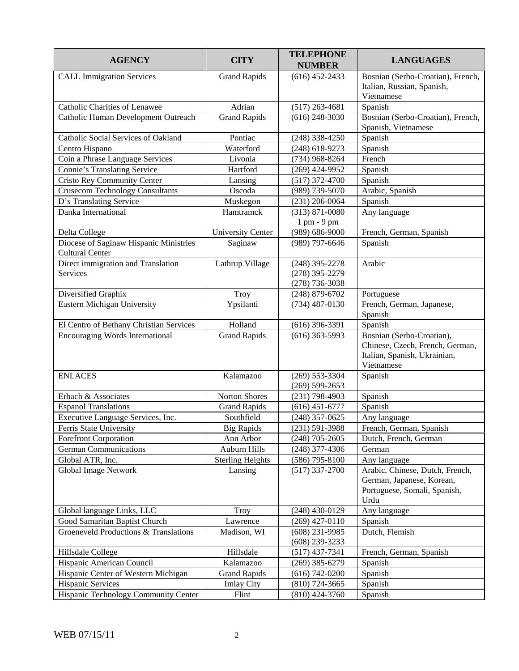| <b>AGENCY</b>                                                    | <b>CITY</b>              | <b>TELEPHONE</b><br><b>NUMBER</b>    | <b>LANGUAGES</b>                                                                                           |
|------------------------------------------------------------------|--------------------------|--------------------------------------|------------------------------------------------------------------------------------------------------------|
| <b>CALL Immigration Services</b>                                 | <b>Grand Rapids</b>      | $(616)$ 452-2433                     | Bosnian (Serbo-Croatian), French,                                                                          |
|                                                                  |                          |                                      | Italian, Russian, Spanish,<br>Vietnamese                                                                   |
| Catholic Charities of Lenawee                                    | Adrian                   | $(517)$ 263-4681                     | Spanish                                                                                                    |
| Catholic Human Development Outreach                              | <b>Grand Rapids</b>      | $(616)$ 248-3030                     | Bosnian (Serbo-Croatian), French,<br>Spanish, Vietnamese                                                   |
| Catholic Social Services of Oakland                              | Pontiac                  | $(248)$ 338-4250                     | Spanish                                                                                                    |
| Centro Hispano                                                   | Waterford                | $(248)$ 618-9273                     | Spanish                                                                                                    |
| Coin a Phrase Language Services                                  | Livonia                  | $(734)$ 968-8264                     | French                                                                                                     |
| <b>Connie's Translating Service</b>                              | Hartford                 | $(269)$ 424-9952                     | Spanish                                                                                                    |
| <b>Cristo Rey Community Center</b>                               | Lansing                  | $(517)$ 372-4700                     | Spanish                                                                                                    |
| <b>Crusecom Technology Consultants</b>                           | Oscoda                   | (989) 739-5070                       | Arabic, Spanish                                                                                            |
| D's Translating Service                                          | Muskegon                 | $(231)$ 206-0064                     | Spanish                                                                                                    |
| Danka International                                              | Hamtramck                | $(313) 871 - 0080$                   | Any language                                                                                               |
|                                                                  |                          | 1 pm - 9 pm                          |                                                                                                            |
| Delta College                                                    | <b>University Center</b> | $(989) 686 - 9000$                   | French, German, Spanish                                                                                    |
| Diocese of Saginaw Hispanic Ministries<br><b>Cultural Center</b> | Saginaw                  | (989) 797-6646                       | Spanish                                                                                                    |
| Direct immigration and Translation                               | Lathrup Village          | $(248)$ 395-2278                     | Arabic                                                                                                     |
| Services                                                         |                          | $(278)$ 395-2279                     |                                                                                                            |
|                                                                  |                          | $(278)$ 736-3038                     |                                                                                                            |
| Diversified Graphix                                              | Troy                     | $(248) 879 - 6702$                   | Portuguese                                                                                                 |
| Eastern Michigan University                                      | Ypsilanti                | $(734)$ 487-0130                     | French, German, Japanese,<br>Spanish                                                                       |
| El Centro of Bethany Christian Services                          | Holland                  | $(616)$ 396-3391                     | Spanish                                                                                                    |
| <b>Encouraging Words International</b>                           | <b>Grand Rapids</b>      | $(616)$ 363-5993                     | Bosnian (Serbo-Croatian),<br>Chinese, Czech, French, German,<br>Italian, Spanish, Ukrainian,<br>Vietnamese |
| <b>ENLACES</b>                                                   | Kalamazoo                | $(269)$ 553-3304<br>$(269)$ 599-2653 | Spanish                                                                                                    |
| Erbach & Associates                                              | Norton Shores            | $(231)$ 798-4903                     | Spanish                                                                                                    |
| <b>Espanol Translations</b>                                      | <b>Grand Rapids</b>      | $(616)$ 451-6777                     | Spanish                                                                                                    |
| Executive Language Services, Inc.                                | Southfield               | $(248)$ 357-0625                     | Any language                                                                                               |
| Ferris State University                                          | <b>Big Rapids</b>        | $(231) 591 - 3988$                   | French, German, Spanish                                                                                    |
| Forefront Corporation                                            | Ann Arbor                | $(248)$ 705-2605                     | Dutch, French, German                                                                                      |
| <b>German Communications</b>                                     | Auburn Hills             | $(248)$ 377-4306                     | German                                                                                                     |
| Global ATR, Inc.                                                 | <b>Sterling Heights</b>  | $(586)$ 795-8100                     | Any language                                                                                               |
| Global Image Network                                             | Lansing                  | $(517)$ 337-2700                     | Arabic, Chinese, Dutch, French,<br>German, Japanese, Korean,<br>Portuguese, Somali, Spanish,<br>Urdu       |
| Global language Links, LLC                                       | Troy                     | $(248)$ 430-0129                     | Any language                                                                                               |
| Good Samaritan Baptist Church                                    | Lawrence                 | $(269)$ 427-0110                     | Spanish                                                                                                    |
| Groeneveld Productions & Translations                            | Madison, WI              | $(608)$ 231-9985<br>$(608)$ 239-3233 | Dutch, Flemish                                                                                             |
| Hillsdale College                                                | Hillsdale                | $(517)$ 437-7341                     | French, German, Spanish                                                                                    |
| Hispanic American Council                                        | Kalamazoo                | $(269)$ 385-6279                     | Spanish                                                                                                    |
| Hispanic Center of Western Michigan                              | <b>Grand Rapids</b>      | $(616) 742 - 0200$                   | Spanish                                                                                                    |
| Hispanic Services                                                | <b>Imlay City</b>        | $(810)$ 724-3665                     | Spanish                                                                                                    |
| Hispanic Technology Community Center                             | Flint                    | $(810)$ 424-3760                     | Spanish                                                                                                    |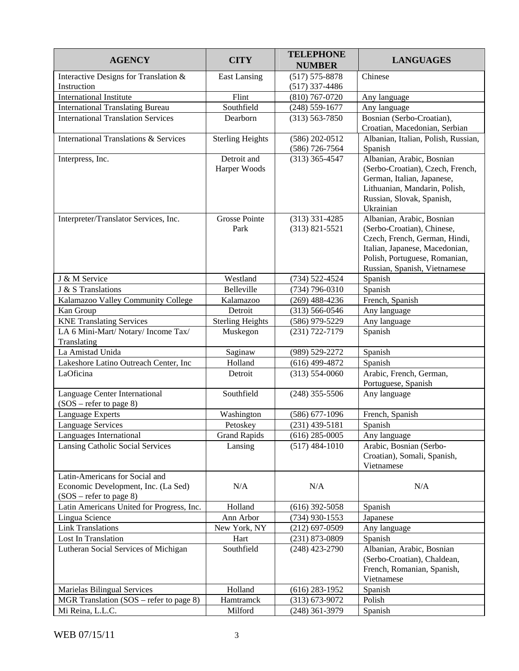| <b>AGENCY</b>                             | <b>CITY</b>             | <b>TELEPHONE</b><br><b>NUMBER</b> | <b>LANGUAGES</b>                          |
|-------------------------------------------|-------------------------|-----------------------------------|-------------------------------------------|
| Interactive Designs for Translation &     | <b>East Lansing</b>     | $(517) 575 - 8878$                | Chinese                                   |
| Instruction                               |                         | $(517)$ 337-4486                  |                                           |
| <b>International Institute</b>            | Flint                   | $(810)$ 767-0720                  | Any language                              |
| <b>International Translating Bureau</b>   | Southfield              | $(248)$ 559-1677                  | Any language                              |
| <b>International Translation Services</b> | Dearborn                | $(313) 563 - 7850$                | Bosnian (Serbo-Croatian),                 |
|                                           |                         |                                   | Croatian, Macedonian, Serbian             |
| International Translations & Services     | <b>Sterling Heights</b> | $(586) 202 - 0512$                | Albanian, Italian, Polish, Russian,       |
|                                           |                         | $(586)$ 726-7564                  | Spanish                                   |
| Interpress, Inc.                          | Detroit and             | $(313)$ 365-4547                  | Albanian, Arabic, Bosnian                 |
|                                           | Harper Woods            |                                   | (Serbo-Croatian), Czech, French,          |
|                                           |                         |                                   | German, Italian, Japanese,                |
|                                           |                         |                                   | Lithuanian, Mandarin, Polish,             |
|                                           |                         |                                   | Russian, Slovak, Spanish,                 |
|                                           |                         |                                   | Ukrainian                                 |
| Interpreter/Translator Services, Inc.     | <b>Grosse Pointe</b>    | $(313)$ 331-4285                  | Albanian, Arabic, Bosnian                 |
|                                           | Park                    | $(313) 821 - 5521$                | (Serbo-Croatian), Chinese,                |
|                                           |                         |                                   | Czech, French, German, Hindi,             |
|                                           |                         |                                   | Italian, Japanese, Macedonian,            |
|                                           |                         |                                   | Polish, Portuguese, Romanian,             |
|                                           |                         |                                   | Russian, Spanish, Vietnamese              |
| J & M Service                             | Westland                | $(734) 522 - 4524$                | Spanish                                   |
| J & S Translations                        | Belleville              | $(734)$ 796-0310                  | Spanish                                   |
| Kalamazoo Valley Community College        | Kalamazoo               | $(269)$ 488-4236                  | French, Spanish                           |
| Kan Group                                 | Detroit                 | $(313) 566 - 0546$                | Any language                              |
| <b>KNE Translating Services</b>           | <b>Sterling Heights</b> | $(586)$ 979-5229                  | Any language                              |
| LA 6 Mini-Mart/ Notary/ Income Tax/       | Muskegon                | $(231) 722 - 7179$                | Spanish                                   |
| Translating                               |                         |                                   |                                           |
| La Amistad Unida                          | Saginaw                 | (989) 529-2272                    | Spanish                                   |
| Lakeshore Latino Outreach Center, Inc     | Holland                 | $(616)$ 499-4872                  | Spanish                                   |
| LaOficina                                 | Detroit                 | $(313) 554 - 0060$                | Arabic, French, German,                   |
|                                           |                         |                                   | Portuguese, Spanish                       |
| Language Center International             | Southfield              | $(248)$ 355-5506                  | Any language                              |
| $(SOS - refer to page 8)$                 |                         |                                   |                                           |
| Language Experts                          | Washington              | $(586)$ 677-1096                  | French, Spanish                           |
| <b>Language Services</b>                  | Petoskey                | $(231)$ 439-5181                  | Spanish                                   |
| Languages International                   | <b>Grand Rapids</b>     | $(616)$ 285-0005                  | Any language                              |
| <b>Lansing Catholic Social Services</b>   | Lansing                 | $(517)$ 484-1010                  | Arabic, Bosnian (Serbo-                   |
|                                           |                         |                                   | Croatian), Somali, Spanish,<br>Vietnamese |
| Latin-Americans for Social and            |                         |                                   |                                           |
| Economic Development, Inc. (La Sed)       | N/A                     | N/A                               | N/A                                       |
| (SOS – refer to page 8)                   |                         |                                   |                                           |
| Latin Americans United for Progress, Inc. | Holland                 | $(616)$ 392-5058                  | Spanish                                   |
| Lingua Science                            | Ann Arbor               | $(734)$ 930-1553                  | Japanese                                  |
| <b>Link Translations</b>                  | New York, NY            | $(212)$ 697-0509                  | Any language                              |
| Lost In Translation                       | Hart                    | $(231)$ 873-0809                  | Spanish                                   |
| Lutheran Social Services of Michigan      | Southfield              | $(248)$ 423-2790                  | Albanian, Arabic, Bosnian                 |
|                                           |                         |                                   | (Serbo-Croatian), Chaldean,               |
|                                           |                         |                                   | French, Romanian, Spanish,                |
|                                           |                         |                                   | Vietnamese                                |
| Marielas Bilingual Services               | Holland                 | $(616)$ 283-1952                  | Spanish                                   |
| MGR Translation (SOS – refer to page 8)   | Hamtramck               | $(313) 673 - 9072$                | Polish                                    |
| Mi Reina, L.L.C.                          | Milford                 | $(248)$ 361-3979                  | Spanish                                   |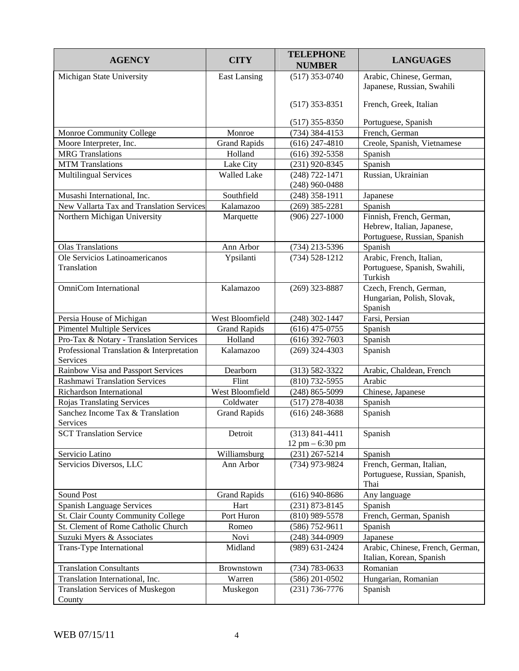| <b>AGENCY</b>                                         | <b>CITY</b>         | <b>TELEPHONE</b><br><b>NUMBER</b>         | <b>LANGUAGES</b>                                                                       |
|-------------------------------------------------------|---------------------|-------------------------------------------|----------------------------------------------------------------------------------------|
| Michigan State University                             | <b>East Lansing</b> | $(517)$ 353-0740                          | Arabic, Chinese, German,<br>Japanese, Russian, Swahili                                 |
|                                                       |                     | $(517)$ 353-8351                          | French, Greek, Italian                                                                 |
|                                                       |                     | $(517)$ 355-8350                          | Portuguese, Spanish                                                                    |
| Monroe Community College                              | Monroe              | $(734)$ 384-4153                          | French, German                                                                         |
| Moore Interpreter, Inc.                               | <b>Grand Rapids</b> | $(616)$ 247-4810                          | Creole, Spanish, Vietnamese                                                            |
| <b>MRG</b> Translations                               | Holland             | $(616)$ 392-5358                          | Spanish                                                                                |
| <b>MTM</b> Translations                               | Lake City           | (231) 920-8345                            | Spanish                                                                                |
| <b>Multilingual Services</b>                          | <b>Walled Lake</b>  | $(248) 722 - 1471$<br>$(248)$ 960-0488    | Russian, Ukrainian                                                                     |
| Musashi International, Inc.                           | Southfield          | $(248)$ 358-1911                          | Japanese                                                                               |
| New Vallarta Tax and Translation Services             | Kalamazoo           | $(269)$ 385-2281                          | Spanish                                                                                |
| Northern Michigan University                          | Marquette           | $(906)$ 227-1000                          | Finnish, French, German,<br>Hebrew, Italian, Japanese,<br>Portuguese, Russian, Spanish |
| <b>Olas Translations</b>                              | Ann Arbor           | $(734)$ 213-5396                          | Spanish                                                                                |
| Ole Servicios Latinoamericanos<br>Translation         | Ypsilanti           | $(734) 528 - 1212$                        | Arabic, French, Italian,<br>Portuguese, Spanish, Swahili,<br>Turkish                   |
| <b>OmniCom</b> International                          | Kalamazoo           | $(269)$ 323-8887                          | Czech, French, German,<br>Hungarian, Polish, Slovak,<br>Spanish                        |
| Persia House of Michigan                              | West Bloomfield     | $(248)$ 302-1447                          | Farsi, Persian                                                                         |
| <b>Pimentel Multiple Services</b>                     | <b>Grand Rapids</b> | $(616)$ 475-0755                          | Spanish                                                                                |
| Pro-Tax & Notary - Translation Services               | Holland             | $(616)$ 392-7603                          | Spanish                                                                                |
| Professional Translation & Interpretation<br>Services | Kalamazoo           | $(269)$ 324-4303                          | Spanish                                                                                |
| Rainbow Visa and Passport Services                    | Dearborn            | $(313) 582 - 3322$                        | Arabic, Chaldean, French                                                               |
| <b>Rashmawi Translation Services</b>                  | Flint               | $(810)$ 732-5955                          | Arabic                                                                                 |
| Richardson International                              | West Bloomfield     | $(248) 865 - 5099$                        | Chinese, Japanese                                                                      |
| Rojas Translating Services                            | Coldwater           | $(517)$ 278-4038                          | Spanish                                                                                |
| Sanchez Income Tax & Translation<br>Services          | <b>Grand Rapids</b> | $(616)$ 248-3688                          | Spanish                                                                                |
| <b>SCT Translation Service</b>                        | Detroit             | $(313) 841 - 4411$<br>$12$ pm $- 6:30$ pm | Spanish                                                                                |
| Servicio Latino                                       | Williamsburg        | $(231)$ 267-5214                          | Spanish                                                                                |
| Servicios Diversos, LLC                               | Ann Arbor           | (734) 973-9824                            | French, German, Italian,<br>Portuguese, Russian, Spanish,<br>Thai                      |
| Sound Post                                            | <b>Grand Rapids</b> | $(616)$ 940-8686                          | Any language                                                                           |
| <b>Spanish Language Services</b>                      | Hart                | $(231)$ 873-8145                          | Spanish                                                                                |
| St. Clair County Community College                    | Port Huron          | $(810)$ 989-5578                          | French, German, Spanish                                                                |
| St. Clement of Rome Catholic Church                   | Romeo               | $(586)$ 752-9611                          | Spanish                                                                                |
| Suzuki Myers & Associates                             | Novi                | $(248)$ 344-0909                          | Japanese                                                                               |
| Trans-Type International                              | Midland             | $(989)$ 631-2424                          | Arabic, Chinese, French, German,<br>Italian, Korean, Spanish                           |
| <b>Translation Consultants</b>                        | Brownstown          | $(734) 783 - 0633$                        | Romanian                                                                               |
| Translation International, Inc.                       | Warren              | $(586)$ 201-0502                          | Hungarian, Romanian                                                                    |
| <b>Translation Services of Muskegon</b><br>County     | Muskegon            | $(231)$ 736-7776                          | Spanish                                                                                |